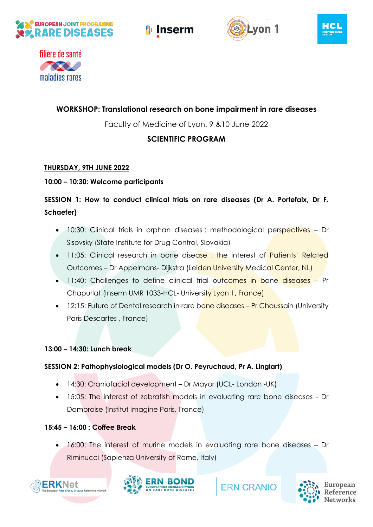









## **WORKSHOP: Translational research on bone impairment in rare diseases**

Faculty of Medicine of Lyon, 9 &10 June 2022

## **SCIENTIFIC PROGRAM**

## **THURSDAY, 9TH JUNE 2022**

## **10:00 – 10:30: Welcome participants**

# **SESSION 1: How to conduct clinical trials on rare diseases (Dr A. Portefaix, Dr F. Schaefer)**

- 10:30: Clinical trials in orphan diseases : methodological perspectives Dr Sisovsky (State Institute for Drug Control, Slovakia)
- 11:05: Clinical research in bone disease : the interest of Patients' Related Outcomes – Dr Appelmans- Dijkstra (Leiden University Medical Center, NL)
- 11:40: Challenges to define clinical trial outcomes in bone diseases Pr Chapurlat (Inserm UMR 1033-HCL- University Lyon 1, France)
- 12:15: Future of Dental research in rare bone diseases Pr Chaussain (University Paris Descartes , France)

### **13:00 – 14:30: Lunch break**

## **SESSION 2: Pathophysiological models (Dr O. Peyruchaud, Pr A. Linglart)**

- 14:30: Craniofacial development Dr Mayor (UCL- London -UK)
- 15:05: The interest of zebrafish models in evaluating rare bone diseases Dr Dambroise (Institut Imagine Paris, France)

## **15:45 – 16:00 : Coffee Break**

• 16:00: The interest of murine models in evaluating rare bone diseases – Dr Riminucci (Sapienza University of Rome, Italy)





**ERN CRANIO** 

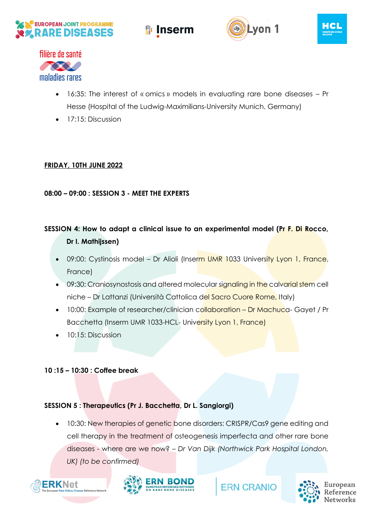









- 16:35: The interest of « omics » models in evaluating rare bone diseases Pr Hesse (Hospital of the Ludwig-Maximilians-University Munich, Germany)
- 17:15: Discussion

## **FRIDAY, 10TH JUNE 2022**

### **08:00 – 09:00 : SESSION 3 - MEET THE EXPERTS**

# **SESSION 4: How to adapt a clinical issue to an experimental model (Pr F. Di Rocco, Dr I. Mathijssen)**

- 09:00: Cystinosis model Dr Alioli (Inserm UMR 1033 University Lyon 1, France, France)
- 09:30: Craniosynostosis and altered molecular signaling in the calvarial stem cell niche – Dr Lattanzi (Università Cattolica del Sacro Cuore Rome, Italy)
- 10:00: Example of researcher/clinician collaboration Dr Machuca- Gayet / Pr Bacchetta (Inserm UMR 1033-HCL- University Lyon 1, France)
- 10:15: Discussion

### **10 :15 – 10:30 : Coffee break**

#### **SESSION 5 : Therapeutics (Pr J. Bacchetta, Dr L. Sangiorgi)**

10:30: New therapies of genetic bone disorders: CRISPR/Cas9 gene editing and cell therapy in the treatment of osteogenesis imperfecta and other rare bone diseases - where are we now? – *Dr Van Dijk (Northwick Park Hospital London, UK) (to be confirmed)*